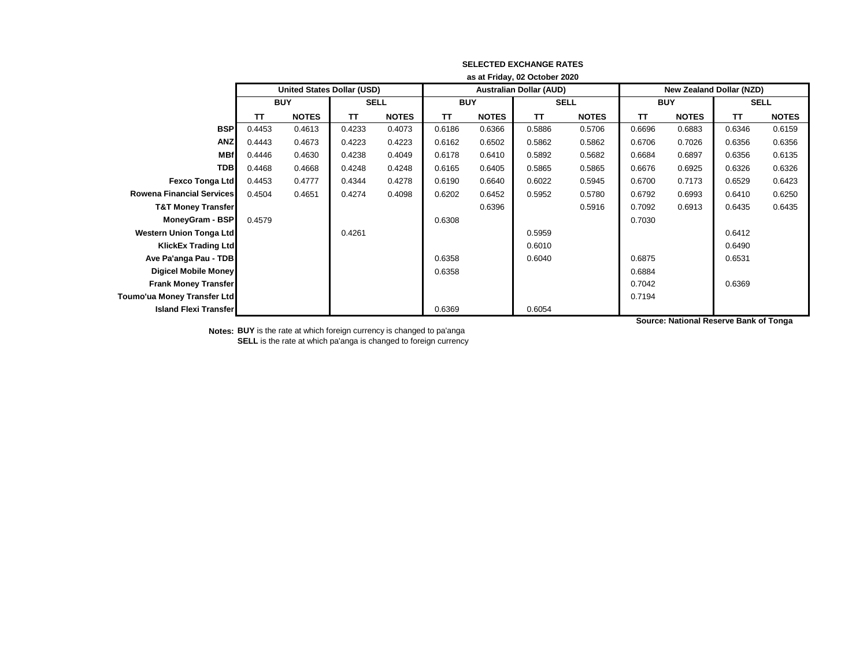|                                  | as at Friday, 02 October 2020     |              |             |              |            |              |                                |              |                          |              |             |              |
|----------------------------------|-----------------------------------|--------------|-------------|--------------|------------|--------------|--------------------------------|--------------|--------------------------|--------------|-------------|--------------|
|                                  | <b>United States Dollar (USD)</b> |              |             |              |            |              | <b>Australian Dollar (AUD)</b> |              | New Zealand Dollar (NZD) |              |             |              |
|                                  | <b>BUY</b>                        |              | <b>SELL</b> |              | <b>BUY</b> |              | <b>SELL</b>                    |              | <b>BUY</b>               |              | <b>SELL</b> |              |
|                                  | TΤ                                | <b>NOTES</b> | <b>TT</b>   | <b>NOTES</b> | <b>TT</b>  | <b>NOTES</b> | <b>TT</b>                      | <b>NOTES</b> | <b>TT</b>                | <b>NOTES</b> | <b>TT</b>   | <b>NOTES</b> |
| <b>BSP</b>                       | 0.4453                            | 0.4613       | 0.4233      | 0.4073       | 0.6186     | 0.6366       | 0.5886                         | 0.5706       | 0.6696                   | 0.6883       | 0.6346      | 0.6159       |
| <b>ANZ</b>                       | 0.4443                            | 0.4673       | 0.4223      | 0.4223       | 0.6162     | 0.6502       | 0.5862                         | 0.5862       | 0.6706                   | 0.7026       | 0.6356      | 0.6356       |
| <b>MBf</b>                       | 0.4446                            | 0.4630       | 0.4238      | 0.4049       | 0.6178     | 0.6410       | 0.5892                         | 0.5682       | 0.6684                   | 0.6897       | 0.6356      | 0.6135       |
| <b>TDB</b>                       | 0.4468                            | 0.4668       | 0.4248      | 0.4248       | 0.6165     | 0.6405       | 0.5865                         | 0.5865       | 0.6676                   | 0.6925       | 0.6326      | 0.6326       |
| <b>Fexco Tonga Ltd</b>           | 0.4453                            | 0.4777       | 0.4344      | 0.4278       | 0.6190     | 0.6640       | 0.6022                         | 0.5945       | 0.6700                   | 0.7173       | 0.6529      | 0.6423       |
| <b>Rowena Financial Services</b> | 0.4504                            | 0.4651       | 0.4274      | 0.4098       | 0.6202     | 0.6452       | 0.5952                         | 0.5780       | 0.6792                   | 0.6993       | 0.6410      | 0.6250       |
| <b>T&amp;T Money Transfer</b>    |                                   |              |             |              |            | 0.6396       |                                | 0.5916       | 0.7092                   | 0.6913       | 0.6435      | 0.6435       |
| <b>MoneyGram - BSP</b>           | 0.4579                            |              |             |              | 0.6308     |              |                                |              | 0.7030                   |              |             |              |
| <b>Western Union Tonga Ltd</b>   |                                   |              | 0.4261      |              |            |              | 0.5959                         |              |                          |              | 0.6412      |              |
| <b>KlickEx Trading Ltd</b>       |                                   |              |             |              |            |              | 0.6010                         |              |                          |              | 0.6490      |              |
| Ave Pa'anga Pau - TDB            |                                   |              |             |              | 0.6358     |              | 0.6040                         |              | 0.6875                   |              | 0.6531      |              |
| Digicel Mobile Money             |                                   |              |             |              | 0.6358     |              |                                |              | 0.6884                   |              |             |              |
| <b>Frank Money Transfer</b>      |                                   |              |             |              |            |              |                                |              | 0.7042                   |              | 0.6369      |              |
| Toumo'ua Money Transfer Ltd      |                                   |              |             |              |            |              |                                |              | 0.7194                   |              |             |              |
| <b>Island Flexi Transfer</b>     |                                   |              |             |              | 0.6369     |              | 0.6054                         |              |                          |              |             |              |

**Notes: BUY** is the rate at which foreign currency is changed to pa'anga **SELL** is the rate at which pa'anga is changed to foreign currency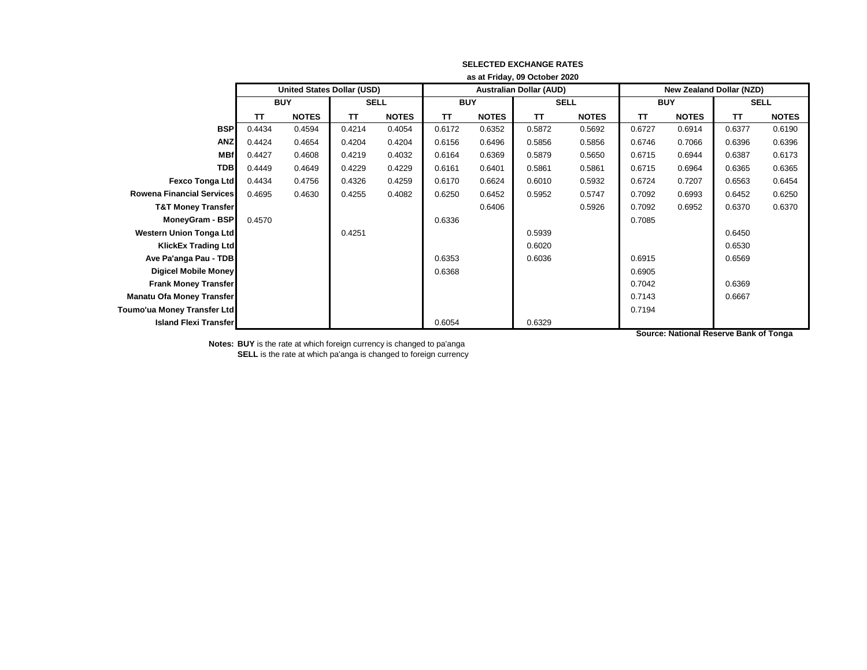|                                  | as at Friday, 09 October 2020     |              |             |              |            |              |                                |              |                                 |              |             |              |
|----------------------------------|-----------------------------------|--------------|-------------|--------------|------------|--------------|--------------------------------|--------------|---------------------------------|--------------|-------------|--------------|
|                                  | <b>United States Dollar (USD)</b> |              |             |              |            |              | <b>Australian Dollar (AUD)</b> |              | <b>New Zealand Dollar (NZD)</b> |              |             |              |
|                                  | <b>BUY</b>                        |              | <b>SELL</b> |              | <b>BUY</b> |              | <b>SELL</b>                    |              | <b>BUY</b>                      |              | <b>SELL</b> |              |
|                                  | <b>TT</b>                         | <b>NOTES</b> | TΤ          | <b>NOTES</b> | <b>TT</b>  | <b>NOTES</b> | TΤ                             | <b>NOTES</b> | TΤ                              | <b>NOTES</b> | TΤ          | <b>NOTES</b> |
| <b>BSP</b>                       | 0.4434                            | 0.4594       | 0.4214      | 0.4054       | 0.6172     | 0.6352       | 0.5872                         | 0.5692       | 0.6727                          | 0.6914       | 0.6377      | 0.6190       |
| <b>ANZ</b>                       | 0.4424                            | 0.4654       | 0.4204      | 0.4204       | 0.6156     | 0.6496       | 0.5856                         | 0.5856       | 0.6746                          | 0.7066       | 0.6396      | 0.6396       |
| <b>MBf</b>                       | 0.4427                            | 0.4608       | 0.4219      | 0.4032       | 0.6164     | 0.6369       | 0.5879                         | 0.5650       | 0.6715                          | 0.6944       | 0.6387      | 0.6173       |
| <b>TDB</b>                       | 0.4449                            | 0.4649       | 0.4229      | 0.4229       | 0.6161     | 0.6401       | 0.5861                         | 0.5861       | 0.6715                          | 0.6964       | 0.6365      | 0.6365       |
| <b>Fexco Tonga Ltd</b>           | 0.4434                            | 0.4756       | 0.4326      | 0.4259       | 0.6170     | 0.6624       | 0.6010                         | 0.5932       | 0.6724                          | 0.7207       | 0.6563      | 0.6454       |
| <b>Rowena Financial Services</b> | 0.4695                            | 0.4630       | 0.4255      | 0.4082       | 0.6250     | 0.6452       | 0.5952                         | 0.5747       | 0.7092                          | 0.6993       | 0.6452      | 0.6250       |
| <b>T&amp;T Money Transfer</b>    |                                   |              |             |              |            | 0.6406       |                                | 0.5926       | 0.7092                          | 0.6952       | 0.6370      | 0.6370       |
| <b>MoneyGram - BSP</b>           | 0.4570                            |              |             |              | 0.6336     |              |                                |              | 0.7085                          |              |             |              |
| <b>Western Union Tonga Ltd</b>   |                                   |              | 0.4251      |              |            |              | 0.5939                         |              |                                 |              | 0.6450      |              |
| <b>KlickEx Trading Ltd</b>       |                                   |              |             |              |            |              | 0.6020                         |              |                                 |              | 0.6530      |              |
| Ave Pa'anga Pau - TDB            |                                   |              |             |              | 0.6353     |              | 0.6036                         |              | 0.6915                          |              | 0.6569      |              |
| Digicel Mobile Money             |                                   |              |             |              | 0.6368     |              |                                |              | 0.6905                          |              |             |              |
| <b>Frank Money Transfer</b>      |                                   |              |             |              |            |              |                                |              | 0.7042                          |              | 0.6369      |              |
| <b>Manatu Ofa Money Transfer</b> |                                   |              |             |              |            |              |                                |              | 0.7143                          |              | 0.6667      |              |
| Toumo'ua Money Transfer Ltd      |                                   |              |             |              |            |              |                                |              | 0.7194                          |              |             |              |
| <b>Island Flexi Transfer</b>     |                                   |              |             |              | 0.6054     |              | 0.6329                         |              |                                 |              |             |              |

**Notes: BUY** is the rate at which foreign currency is changed to pa'anga

**SELL** is the rate at which pa'anga is changed to foreign currency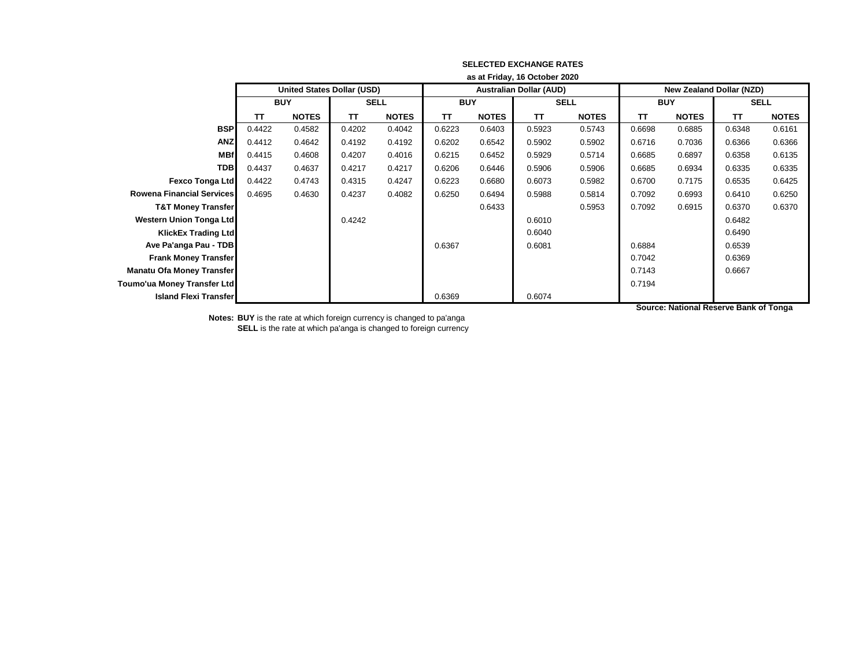|                                  | as at Friday, 16 October 2020 |                            |             |              |            |              |                                |              |                                 |              |             |              |
|----------------------------------|-------------------------------|----------------------------|-------------|--------------|------------|--------------|--------------------------------|--------------|---------------------------------|--------------|-------------|--------------|
|                                  |                               | United States Dollar (USD) |             |              |            |              | <b>Australian Dollar (AUD)</b> |              | <b>New Zealand Dollar (NZD)</b> |              |             |              |
|                                  | <b>BUY</b>                    |                            | <b>SELL</b> |              | <b>BUY</b> |              | <b>SELL</b>                    |              | <b>BUY</b>                      |              | <b>SELL</b> |              |
|                                  | TΤ                            | <b>NOTES</b>               | TΤ          | <b>NOTES</b> | <b>TT</b>  | <b>NOTES</b> | TΤ                             | <b>NOTES</b> | TΤ                              | <b>NOTES</b> | TΤ          | <b>NOTES</b> |
| <b>BSP</b>                       | 0.4422                        | 0.4582                     | 0.4202      | 0.4042       | 0.6223     | 0.6403       | 0.5923                         | 0.5743       | 0.6698                          | 0.6885       | 0.6348      | 0.6161       |
| <b>ANZ</b>                       | 0.4412                        | 0.4642                     | 0.4192      | 0.4192       | 0.6202     | 0.6542       | 0.5902                         | 0.5902       | 0.6716                          | 0.7036       | 0.6366      | 0.6366       |
| <b>MBf</b>                       | 0.4415                        | 0.4608                     | 0.4207      | 0.4016       | 0.6215     | 0.6452       | 0.5929                         | 0.5714       | 0.6685                          | 0.6897       | 0.6358      | 0.6135       |
| <b>TDB</b>                       | 0.4437                        | 0.4637                     | 0.4217      | 0.4217       | 0.6206     | 0.6446       | 0.5906                         | 0.5906       | 0.6685                          | 0.6934       | 0.6335      | 0.6335       |
| Fexco Tonga Ltd                  | 0.4422                        | 0.4743                     | 0.4315      | 0.4247       | 0.6223     | 0.6680       | 0.6073                         | 0.5982       | 0.6700                          | 0.7175       | 0.6535      | 0.6425       |
| <b>Rowena Financial Services</b> | 0.4695                        | 0.4630                     | 0.4237      | 0.4082       | 0.6250     | 0.6494       | 0.5988                         | 0.5814       | 0.7092                          | 0.6993       | 0.6410      | 0.6250       |
| <b>T&amp;T Money Transfer</b>    |                               |                            |             |              |            | 0.6433       |                                | 0.5953       | 0.7092                          | 0.6915       | 0.6370      | 0.6370       |
| Western Union Tonga Ltd          |                               |                            | 0.4242      |              |            |              | 0.6010                         |              |                                 |              | 0.6482      |              |
| <b>KlickEx Trading Ltd</b>       |                               |                            |             |              |            |              | 0.6040                         |              |                                 |              | 0.6490      |              |
| Ave Pa'anga Pau - TDB            |                               |                            |             |              | 0.6367     |              | 0.6081                         |              | 0.6884                          |              | 0.6539      |              |
| <b>Frank Money Transfer</b>      |                               |                            |             |              |            |              |                                |              | 0.7042                          |              | 0.6369      |              |
| <b>Manatu Ofa Money Transfer</b> |                               |                            |             |              |            |              |                                |              | 0.7143                          |              | 0.6667      |              |
| Toumo'ua Money Transfer Ltd      |                               |                            |             |              |            |              |                                |              | 0.7194                          |              |             |              |
| <b>Island Flexi Transfer</b>     |                               |                            |             |              | 0.6369     |              | 0.6074                         |              |                                 |              |             |              |

**Notes: BUY** is the rate at which foreign currency is changed to pa'anga **SELL** is the rate at which pa'anga is changed to foreign currency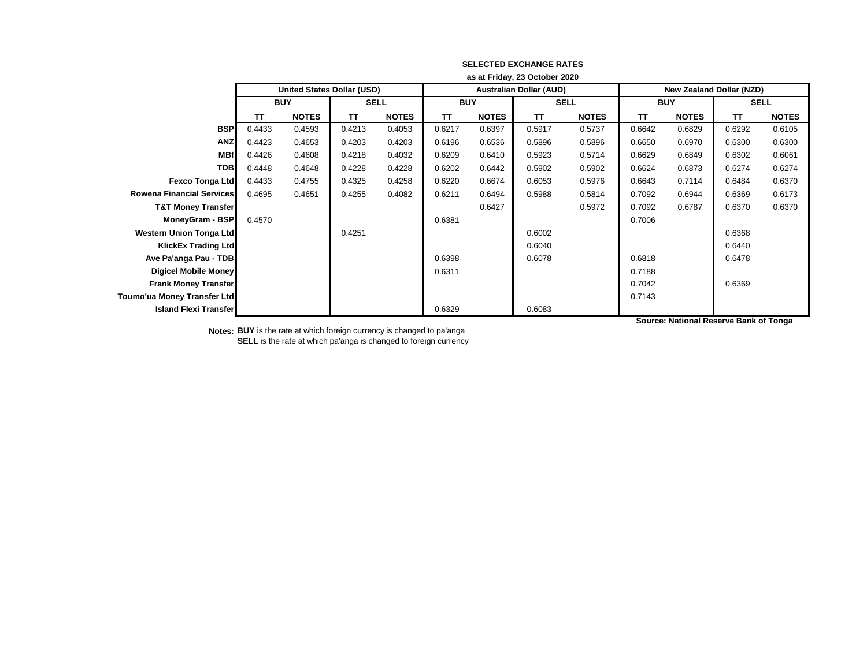|                                  | as at Friday, 23 October 2020 |                                   |             |              |            |              |                                |              |                                 |              |             |              |
|----------------------------------|-------------------------------|-----------------------------------|-------------|--------------|------------|--------------|--------------------------------|--------------|---------------------------------|--------------|-------------|--------------|
|                                  |                               | <b>United States Dollar (USD)</b> |             |              |            |              | <b>Australian Dollar (AUD)</b> |              | <b>New Zealand Dollar (NZD)</b> |              |             |              |
|                                  | <b>BUY</b>                    |                                   | <b>SELL</b> |              | <b>BUY</b> |              | <b>SELL</b>                    |              | <b>BUY</b>                      |              | <b>SELL</b> |              |
|                                  | TΤ                            | <b>NOTES</b>                      | TΤ          | <b>NOTES</b> | <b>TT</b>  | <b>NOTES</b> | <b>TT</b>                      | <b>NOTES</b> | <b>TT</b>                       | <b>NOTES</b> | TΤ          | <b>NOTES</b> |
| <b>BSP</b>                       | 0.4433                        | 0.4593                            | 0.4213      | 0.4053       | 0.6217     | 0.6397       | 0.5917                         | 0.5737       | 0.6642                          | 0.6829       | 0.6292      | 0.6105       |
| <b>ANZ</b>                       | 0.4423                        | 0.4653                            | 0.4203      | 0.4203       | 0.6196     | 0.6536       | 0.5896                         | 0.5896       | 0.6650                          | 0.6970       | 0.6300      | 0.6300       |
| <b>MBf</b>                       | 0.4426                        | 0.4608                            | 0.4218      | 0.4032       | 0.6209     | 0.6410       | 0.5923                         | 0.5714       | 0.6629                          | 0.6849       | 0.6302      | 0.6061       |
| <b>TDB</b>                       | 0.4448                        | 0.4648                            | 0.4228      | 0.4228       | 0.6202     | 0.6442       | 0.5902                         | 0.5902       | 0.6624                          | 0.6873       | 0.6274      | 0.6274       |
| Fexco Tonga Ltd                  | 0.4433                        | 0.4755                            | 0.4325      | 0.4258       | 0.6220     | 0.6674       | 0.6053                         | 0.5976       | 0.6643                          | 0.7114       | 0.6484      | 0.6370       |
| <b>Rowena Financial Services</b> | 0.4695                        | 0.4651                            | 0.4255      | 0.4082       | 0.6211     | 0.6494       | 0.5988                         | 0.5814       | 0.7092                          | 0.6944       | 0.6369      | 0.6173       |
| <b>T&amp;T Money Transfer</b>    |                               |                                   |             |              |            | 0.6427       |                                | 0.5972       | 0.7092                          | 0.6787       | 0.6370      | 0.6370       |
| MoneyGram - BSP                  | 0.4570                        |                                   |             |              | 0.6381     |              |                                |              | 0.7006                          |              |             |              |
| <b>Western Union Tonga Ltd</b>   |                               |                                   | 0.4251      |              |            |              | 0.6002                         |              |                                 |              | 0.6368      |              |
| <b>KlickEx Trading Ltd</b>       |                               |                                   |             |              |            |              | 0.6040                         |              |                                 |              | 0.6440      |              |
| Ave Pa'anga Pau - TDB            |                               |                                   |             |              | 0.6398     |              | 0.6078                         |              | 0.6818                          |              | 0.6478      |              |
| <b>Digicel Mobile Money</b>      |                               |                                   |             |              | 0.6311     |              |                                |              | 0.7188                          |              |             |              |
| <b>Frank Money Transfer</b>      |                               |                                   |             |              |            |              |                                |              | 0.7042                          |              | 0.6369      |              |
| Toumo'ua Money Transfer Ltd      |                               |                                   |             |              |            |              |                                |              | 0.7143                          |              |             |              |
| <b>Island Flexi Transfer</b>     |                               |                                   |             |              | 0.6329     |              | 0.6083                         |              |                                 |              |             |              |

**Notes: BUY** is the rate at which foreign currency is changed to pa'anga **SELL** is the rate at which pa'anga is changed to foreign currency